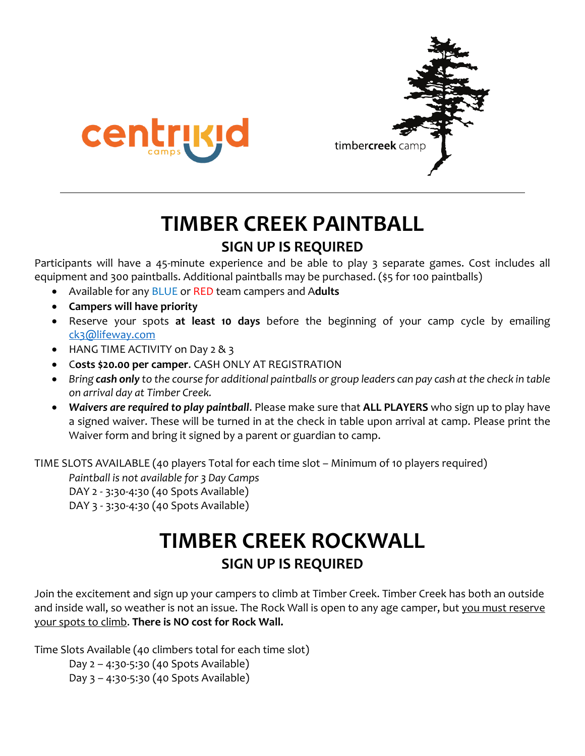



## **TIMBER CREEK PAINTBALL SIGN UP IS REQUIRED**

Participants will have a 45-minute experience and be able to play 3 separate games. Cost includes all equipment and 300 paintballs. Additional paintballs may be purchased. (\$5 for 100 paintballs)

- Available for any BLUE or RED team campers and A**dults**
- **Campers will have priority**
- Reserve your spots **at least 10 days** before the beginning of your camp cycle by emailing ck3@lifeway.com
- HANG TIME ACTIVITY on Day 2 & 3
- C**osts \$20.00 per camper**. CASH ONLY AT REGISTRATION
- *Bring cash only to the course for additional paintballs or group leaders can pay cash at the check in table on arrival day at Timber Creek.*
- *Waivers are required to play paintball*. Please make sure that **ALL PLAYERS** who sign up to play have a signed waiver. These will be turned in at the check in table upon arrival at camp. Please print the Waiver form and bring it signed by a parent or guardian to camp.

TIME SLOTS AVAILABLE (40 players Total for each time slot – Minimum of 10 players required)

*Paintball is not available for 3 Day Camps* DAY 2 - 3:30-4:30 (40 Spots Available) DAY 3 - 3:30-4:30 (40 Spots Available)

# **TIMBER CREEK ROCKWALL**

## **SIGN UP IS REQUIRED**

Join the excitement and sign up your campers to climb at Timber Creek. Timber Creek has both an outside and inside wall, so weather is not an issue. The Rock Wall is open to any age camper, but you must reserve your spots to climb. **There is NO cost for Rock Wall.**

Time Slots Available (40 climbers total for each time slot)

Day 2 – 4:30-5:30 (40 Spots Available) Day 3 – 4:30-5:30 (40 Spots Available)